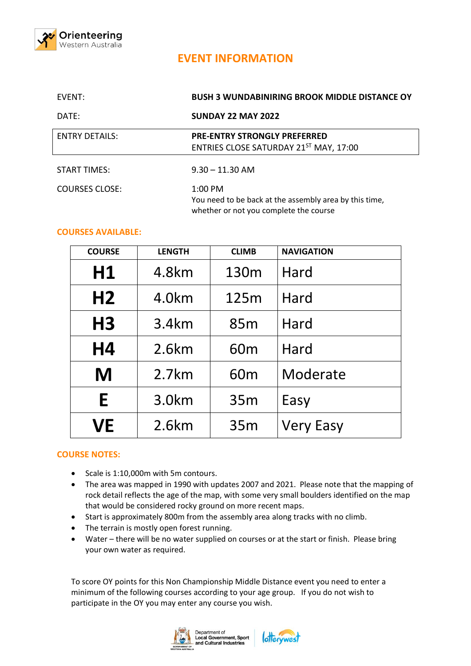

## **EVENT INFORMATION**

| EVENT:                | <b>BUSH 3 WUNDABINIRING BROOK MIDDLE DISTANCE OY</b>                                                          |
|-----------------------|---------------------------------------------------------------------------------------------------------------|
| DATE:                 | <b>SUNDAY 22 MAY 2022</b>                                                                                     |
| <b>ENTRY DETAILS:</b> | <b>PRE-ENTRY STRONGLY PREFERRED</b><br>ENTRIES CLOSE SATURDAY 21ST MAY, 17:00                                 |
| <b>START TIMES:</b>   | $9.30 - 11.30$ AM                                                                                             |
| <b>COURSES CLOSE:</b> | $1:00$ PM<br>You need to be back at the assembly area by this time,<br>whether or not you complete the course |

## **COURSES AVAILABLE:**

| <b>COURSE</b>  | <b>LENGTH</b> | <b>CLIMB</b>     | <b>NAVIGATION</b> |
|----------------|---------------|------------------|-------------------|
| H1             | 4.8km         | 130 <sub>m</sub> | Hard              |
| H <sub>2</sub> | 4.0km         | 125m             | Hard              |
| H <sub>3</sub> | 3.4km         | 85 <sub>m</sub>  | Hard              |
| H4             | 2.6km         | 60 <sub>m</sub>  | Hard              |
| M              | 2.7km         | 60 <sub>m</sub>  | Moderate          |
| E              | 3.0km         | 35m              | Easy              |
| VE             | 2.6km         | 35m              | <b>Very Easy</b>  |

## **COURSE NOTES:**

- Scale is 1:10,000m with 5m contours.
- The area was mapped in 1990 with updates 2007 and 2021. Please note that the mapping of rock detail reflects the age of the map, with some very small boulders identified on the map that would be considered rocky ground on more recent maps.
- Start is approximately 800m from the assembly area along tracks with no climb.
- The terrain is mostly open forest running.
- Water there will be no water supplied on courses or at the start or finish. Please bring your own water as required.

To score OY points for this Non Championship Middle Distance event you need to enter a minimum of the following courses according to your age group. If you do not wish to participate in the OY you may enter any course you wish.